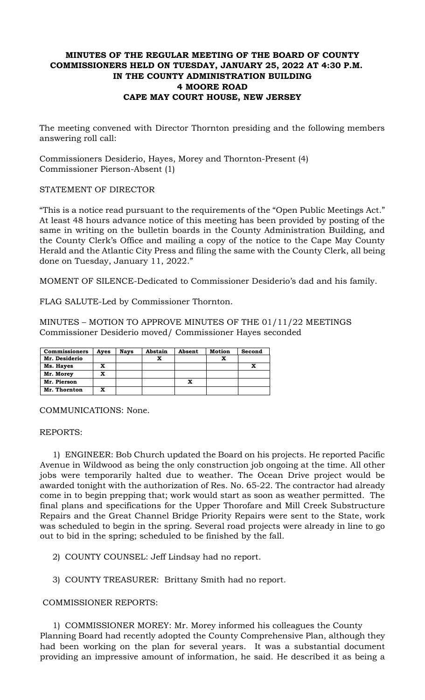# **MINUTES OF THE REGULAR MEETING OF THE BOARD OF COUNTY COMMISSIONERS HELD ON TUESDAY, JANUARY 25, 2022 AT 4:30 P.M. IN THE COUNTY ADMINISTRATION BUILDING 4 MOORE ROAD CAPE MAY COURT HOUSE, NEW JERSEY**

The meeting convened with Director Thornton presiding and the following members answering roll call:

Commissioners Desiderio, Hayes, Morey and Thornton-Present (4) Commissioner Pierson-Absent (1)

## STATEMENT OF DIRECTOR

"This is a notice read pursuant to the requirements of the "Open Public Meetings Act." At least 48 hours advance notice of this meeting has been provided by posting of the same in writing on the bulletin boards in the County Administration Building, and the County Clerk's Office and mailing a copy of the notice to the Cape May County Herald and the Atlantic City Press and filing the same with the County Clerk, all being done on Tuesday, January 11, 2022."

MOMENT OF SILENCE-Dedicated to Commissioner Desiderio's dad and his family.

FLAG SALUTE-Led by Commissioner Thornton.

MINUTES – MOTION TO APPROVE MINUTES OF THE 01/11/22 MEETINGS Commissioner Desiderio moved/ Commissioner Hayes seconded

| <b>Commissioners</b> | Aves | <b>Nays</b> | Abstain | Absent | <b>Motion</b> | Second |
|----------------------|------|-------------|---------|--------|---------------|--------|
| Mr. Desiderio        |      |             |         |        |               |        |
| Ms. Hayes            | x    |             |         |        |               |        |
| Mr. Morey            | x    |             |         |        |               |        |
| Mr. Pierson          |      |             |         |        |               |        |
| Mr. Thornton         | x    |             |         |        |               |        |

COMMUNICATIONS: None.

REPORTS:

1) ENGINEER: Bob Church updated the Board on his projects. He reported Pacific Avenue in Wildwood as being the only construction job ongoing at the time. All other jobs were temporarily halted due to weather. The Ocean Drive project would be awarded tonight with the authorization of Res. No. 65-22. The contractor had already come in to begin prepping that; work would start as soon as weather permitted. The final plans and specifications for the Upper Thorofare and Mill Creek Substructure Repairs and the Great Channel Bridge Priority Repairs were sent to the State, work was scheduled to begin in the spring. Several road projects were already in line to go out to bid in the spring; scheduled to be finished by the fall.

- 2) COUNTY COUNSEL: Jeff Lindsay had no report.
- 3) COUNTY TREASURER: Brittany Smith had no report.

### COMMISSIONER REPORTS:

1) COMMISSIONER MOREY: Mr. Morey informed his colleagues the County Planning Board had recently adopted the County Comprehensive Plan, although they had been working on the plan for several years. It was a substantial document providing an impressive amount of information, he said. He described it as being a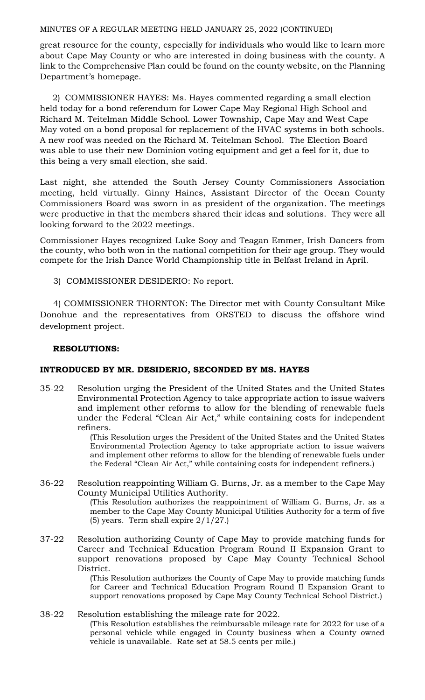great resource for the county, especially for individuals who would like to learn more about Cape May County or who are interested in doing business with the county. A link to the Comprehensive Plan could be found on the county website, on the Planning Department's homepage.

2) COMMISSIONER HAYES: Ms. Hayes commented regarding a small election held today for a bond referendum for Lower Cape May Regional High School and Richard M. Teitelman Middle School. Lower Township, Cape May and West Cape May voted on a bond proposal for replacement of the HVAC systems in both schools. A new roof was needed on the Richard M. Teitelman School. The Election Board was able to use their new Dominion voting equipment and get a feel for it, due to this being a very small election, she said.

Last night, she attended the South Jersey County Commissioners Association meeting, held virtually. Ginny Haines, Assistant Director of the Ocean County Commissioners Board was sworn in as president of the organization. The meetings were productive in that the members shared their ideas and solutions. They were all looking forward to the 2022 meetings.

Commissioner Hayes recognized Luke Sooy and Teagan Emmer, Irish Dancers from the county, who both won in the national competition for their age group. They would compete for the Irish Dance World Championship title in Belfast Ireland in April.

3) COMMISSIONER DESIDERIO: No report.

 4) COMMISSIONER THORNTON: The Director met with County Consultant Mike Donohue and the representatives from ORSTED to discuss the offshore wind development project.

## **RESOLUTIONS:**

# **INTRODUCED BY MR. DESIDERIO, SECONDED BY MS. HAYES**

35-22 Resolution urging the President of the United States and the United States Environmental Protection Agency to take appropriate action to issue waivers and implement other reforms to allow for the blending of renewable fuels under the Federal "Clean Air Act," while containing costs for independent refiners.

(This Resolution urges the President of the United States and the United States Environmental Protection Agency to take appropriate action to issue waivers and implement other reforms to allow for the blending of renewable fuels under the Federal "Clean Air Act," while containing costs for independent refiners.)

- 36-22 Resolution reappointing William G. Burns, Jr. as a member to the Cape May County Municipal Utilities Authority. (This Resolution authorizes the reappointment of William G. Burns, Jr. as a member to the Cape May County Municipal Utilities Authority for a term of five (5) years. Term shall expire 2/1/27.)
- 37-22 Resolution authorizing County of Cape May to provide matching funds for Career and Technical Education Program Round II Expansion Grant to support renovations proposed by Cape May County Technical School District.

(This Resolution authorizes the County of Cape May to provide matching funds for Career and Technical Education Program Round II Expansion Grant to support renovations proposed by Cape May County Technical School District.)

38-22 Resolution establishing the mileage rate for 2022. (This Resolution establishes the reimbursable mileage rate for 2022 for use of a personal vehicle while engaged in County business when a County owned vehicle is unavailable. Rate set at 58.5 cents per mile.)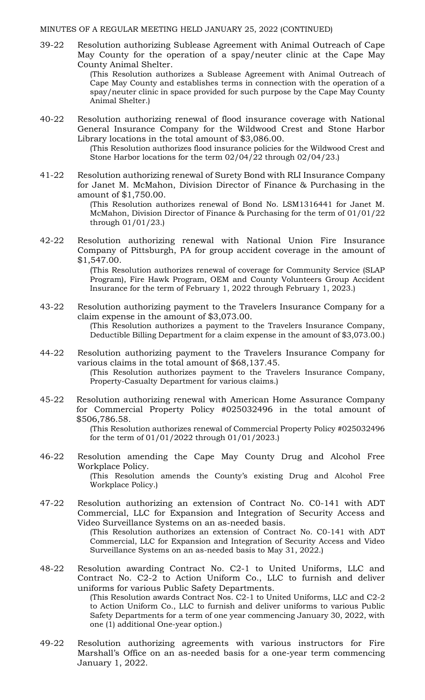39-22 Resolution authorizing Sublease Agreement with Animal Outreach of Cape May County for the operation of a spay/neuter clinic at the Cape May County Animal Shelter.

(This Resolution authorizes a Sublease Agreement with Animal Outreach of Cape May County and establishes terms in connection with the operation of a spay/neuter clinic in space provided for such purpose by the Cape May County Animal Shelter.)

40-22 Resolution authorizing renewal of flood insurance coverage with National General Insurance Company for the Wildwood Crest and Stone Harbor Library locations in the total amount of \$3,086.00.

> (This Resolution authorizes flood insurance policies for the Wildwood Crest and Stone Harbor locations for the term 02/04/22 through 02/04/23.)

41-22 Resolution authorizing renewal of Surety Bond with RLI Insurance Company for Janet M. McMahon, Division Director of Finance & Purchasing in the amount of \$1,750.00.

> (This Resolution authorizes renewal of Bond No. LSM1316441 for Janet M. McMahon, Division Director of Finance & Purchasing for the term of 01/01/22 through 01/01/23.)

42-22 Resolution authorizing renewal with National Union Fire Insurance Company of Pittsburgh, PA for group accident coverage in the amount of \$1,547.00.

> (This Resolution authorizes renewal of coverage for Community Service (SLAP Program), Fire Hawk Program, OEM and County Volunteers Group Accident Insurance for the term of February 1, 2022 through February 1, 2023.)

- 43-22 Resolution authorizing payment to the Travelers Insurance Company for a claim expense in the amount of \$3,073.00. (This Resolution authorizes a payment to the Travelers Insurance Company, Deductible Billing Department for a claim expense in the amount of \$3,073.00.)
- 44-22 Resolution authorizing payment to the Travelers Insurance Company for various claims in the total amount of \$68,137.45. (This Resolution authorizes payment to the Travelers Insurance Company,

Property-Casualty Department for various claims.)

45-22 Resolution authorizing renewal with American Home Assurance Company for Commercial Property Policy #025032496 in the total amount of \$506,786.58.

(This Resolution authorizes renewal of Commercial Property Policy #025032496 for the term of 01/01/2022 through 01/01/2023.)

46-22 Resolution amending the Cape May County Drug and Alcohol Free Workplace Policy.

(This Resolution amends the County's existing Drug and Alcohol Free Workplace Policy.)

47-22 Resolution authorizing an extension of Contract No. C0-141 with ADT Commercial, LLC for Expansion and Integration of Security Access and Video Surveillance Systems on an as-needed basis.

> (This Resolution authorizes an extension of Contract No. C0-141 with ADT Commercial, LLC for Expansion and Integration of Security Access and Video Surveillance Systems on an as-needed basis to May 31, 2022.)

48-22 Resolution awarding Contract No. C2-1 to United Uniforms, LLC and Contract No. C2-2 to Action Uniform Co., LLC to furnish and deliver uniforms for various Public Safety Departments.

> (This Resolution awards Contract Nos. C2-1 to United Uniforms, LLC and C2-2 to Action Uniform Co., LLC to furnish and deliver uniforms to various Public Safety Departments for a term of one year commencing January 30, 2022, with one (1) additional One-year option.)

49-22 Resolution authorizing agreements with various instructors for Fire Marshall's Office on an as-needed basis for a one-year term commencing January 1, 2022.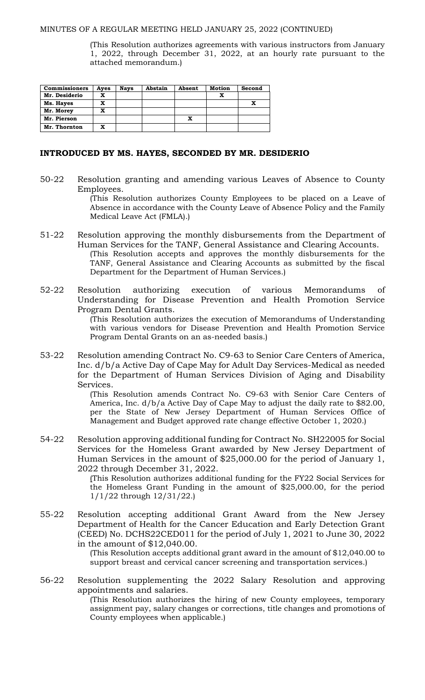(This Resolution authorizes agreements with various instructors from January 1, 2022, through December 31, 2022, at an hourly rate pursuant to the attached memorandum.)

| <b>Commissioners</b> | Ayes | <b>Nays</b> | Abstain | Absent | <b>Motion</b> | Second |
|----------------------|------|-------------|---------|--------|---------------|--------|
| Mr. Desiderio        | x    |             |         |        |               |        |
| Ms. Hayes            | x    |             |         |        |               |        |
| Mr. Morey            | x    |             |         |        |               |        |
| Mr. Pierson          |      |             |         |        |               |        |
| Mr. Thornton         | x    |             |         |        |               |        |

#### **INTRODUCED BY MS. HAYES, SECONDED BY MR. DESIDERIO**

50-22 Resolution granting and amending various Leaves of Absence to County Employees.

> (This Resolution authorizes County Employees to be placed on a Leave of Absence in accordance with the County Leave of Absence Policy and the Family Medical Leave Act (FMLA).)

- 51-22 Resolution approving the monthly disbursements from the Department of Human Services for the TANF, General Assistance and Clearing Accounts. (This Resolution accepts and approves the monthly disbursements for the TANF, General Assistance and Clearing Accounts as submitted by the fiscal Department for the Department of Human Services.)
- 52-22 Resolution authorizing execution of various Memorandums of Understanding for Disease Prevention and Health Promotion Service Program Dental Grants.

(This Resolution authorizes the execution of Memorandums of Understanding with various vendors for Disease Prevention and Health Promotion Service Program Dental Grants on an as-needed basis.)

53-22 Resolution amending Contract No. C9-63 to Senior Care Centers of America, Inc. d/b/a Active Day of Cape May for Adult Day Services-Medical as needed for the Department of Human Services Division of Aging and Disability Services.

> (This Resolution amends Contract No. C9-63 with Senior Care Centers of America, Inc. d/b/a Active Day of Cape May to adjust the daily rate to \$82.00, per the State of New Jersey Department of Human Services Office of Management and Budget approved rate change effective October 1, 2020.)

54-22 Resolution approving additional funding for Contract No. SH22005 for Social Services for the Homeless Grant awarded by New Jersey Department of Human Services in the amount of \$25,000.00 for the period of January 1, 2022 through December 31, 2022.

> (This Resolution authorizes additional funding for the FY22 Social Services for the Homeless Grant Funding in the amount of \$25,000.00, for the period 1/1/22 through 12/31/22.)

55-22 Resolution accepting additional Grant Award from the New Jersey Department of Health for the Cancer Education and Early Detection Grant (CEED) No. DCHS22CED011 for the period of July 1, 2021 to June 30, 2022 in the amount of \$12,040.00.

> (This Resolution accepts additional grant award in the amount of \$12,040.00 to support breast and cervical cancer screening and transportation services.)

56-22 Resolution supplementing the 2022 Salary Resolution and approving appointments and salaries. (This Resolution authorizes the hiring of new County employees, temporary assignment pay, salary changes or corrections, title changes and promotions of

County employees when applicable.)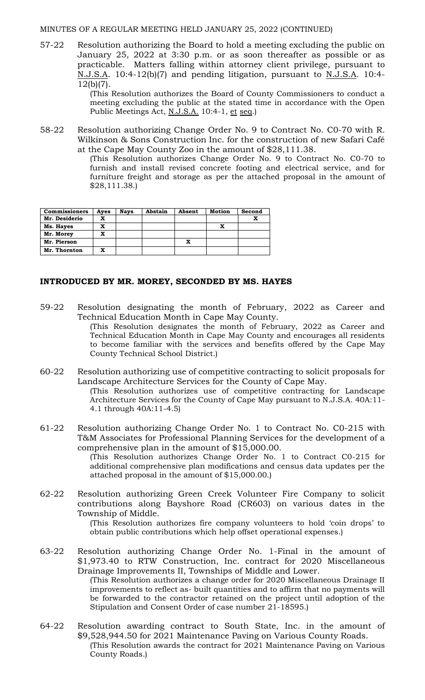57-22 Resolution authorizing the Board to hold a meeting excluding the public on January 25, 2022 at 3:30 p.m. or as soon thereafter as possible or as practicable. Matters falling within attorney client privilege, pursuant to N.J.S.A. 10:4-12(b)(7) and pending litigation, pursuant to N.J.S.A. 10:4- 12(b)(7).

(This Resolution authorizes the Board of County Commissioners to conduct a meeting excluding the public at the stated time in accordance with the Open Public Meetings Act, N.J.S.A. 10:4-1, et seq.)

58-22 Resolution authorizing Change Order No. 9 to Contract No. C0-70 with R. Wilkinson & Sons Construction Inc. for the construction of new Safari Café at the Cape May County Zoo in the amount of \$28,111.38.

(This Resolution authorizes Change Order No. 9 to Contract No. C0-70 to furnish and install revised concrete footing and electrical service, and for furniture freight and storage as per the attached proposal in the amount of \$28,111.38.)

| <b>Commissioners</b> | Aves | <b>Nays</b> | Abstain | Absent | Motion | Second |
|----------------------|------|-------------|---------|--------|--------|--------|
| Mr. Desiderio        | x    |             |         |        |        |        |
| Ms. Hayes            | x    |             |         |        |        |        |
| Mr. Morey            | x    |             |         |        |        |        |
| Mr. Pierson          |      |             |         | x      |        |        |
| Mr. Thornton         | x    |             |         |        |        |        |

County Technical School District.)

## **INTRODUCED BY MR. MOREY, SECONDED BY MS. HAYES**

- 59-22 Resolution designating the month of February, 2022 as Career and Technical Education Month in Cape May County. (This Resolution designates the month of February, 2022 as Career and Technical Education Month in Cape May County and encourages all residents to become familiar with the services and benefits offered by the Cape May
- 60-22 Resolution authorizing use of competitive contracting to solicit proposals for Landscape Architecture Services for the County of Cape May. (This Resolution authorizes use of competitive contracting for Landscape

Architecture Services for the County of Cape May pursuant to N.J.S.A. 40A:11- 4.1 through 40A:11-4.5)

61-22 Resolution authorizing Change Order No. 1 to Contract No. C0-215 with T&M Associates for Professional Planning Services for the development of a comprehensive plan in the amount of \$15,000.00. (This Resolution authorizes Change Order No. 1 to Contract C0-215 for

additional comprehensive plan modifications and census data updates per the attached proposal in the amount of \$15,000.00.)

62-22 Resolution authorizing Green Creek Volunteer Fire Company to solicit contributions along Bayshore Road (CR603) on various dates in the Township of Middle.

(This Resolution authorizes fire company volunteers to hold 'coin drops' to obtain public contributions which help offset operational expenses.)

63-22 Resolution authorizing Change Order No. 1-Final in the amount of \$1,973.40 to RTW Construction, Inc. contract for 2020 Miscellaneous Drainage Improvements II, Townships of Middle and Lower.

(This Resolution authorizes a change order for 2020 Miscellaneous Drainage II improvements to reflect as- built quantities and to affirm that no payments will be forwarded to the contractor retained on the project until adoption of the Stipulation and Consent Order of case number 21-18595.)

64-22 Resolution awarding contract to South State, Inc. in the amount of \$9,528,944.50 for 2021 Maintenance Paving on Various County Roads. (This Resolution awards the contract for 2021 Maintenance Paving on Various County Roads.)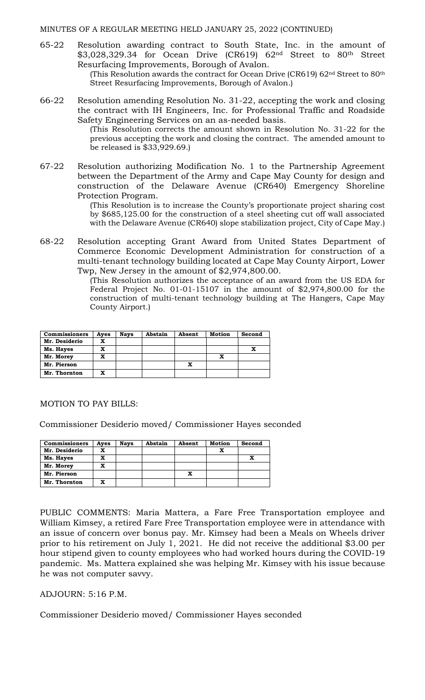65-22 Resolution awarding contract to South State, Inc. in the amount of \$3,028,329.34 for Ocean Drive (CR619) 62nd Street to 80th Street Resurfacing Improvements, Borough of Avalon.

(This Resolution awards the contract for Ocean Drive (CR619)  $62<sup>nd</sup>$  Street to  $80<sup>th</sup>$ Street Resurfacing Improvements, Borough of Avalon.)

66-22 Resolution amending Resolution No. 31-22, accepting the work and closing the contract with IH Engineers, Inc. for Professional Traffic and Roadside Safety Engineering Services on an as-needed basis.

(This Resolution corrects the amount shown in Resolution No. 31-22 for the previous accepting the work and closing the contract. The amended amount to be released is \$33,929.69.)

67-22 Resolution authorizing Modification No. 1 to the Partnership Agreement between the Department of the Army and Cape May County for design and construction of the Delaware Avenue (CR640) Emergency Shoreline Protection Program.

> (This Resolution is to increase the County's proportionate project sharing cost by \$685,125.00 for the construction of a steel sheeting cut off wall associated with the Delaware Avenue (CR640) slope stabilization project, City of Cape May.)

68-22 Resolution accepting Grant Award from United States Department of Commerce Economic Development Administration for construction of a multi-tenant technology building located at Cape May County Airport, Lower Twp, New Jersey in the amount of \$2,974,800.00.

(This Resolution authorizes the acceptance of an award from the US EDA for Federal Project No. 01-01-15107 in the amount of \$2,974,800.00 for the construction of multi-tenant technology building at The Hangers, Cape May County Airport.)

| <b>Commissioners</b> | Aves | <b>Nays</b> | Abstain | Absent | <b>Motion</b> | Second |
|----------------------|------|-------------|---------|--------|---------------|--------|
| Mr. Desiderio        | x    |             |         |        |               |        |
| Ms. Hayes            | x    |             |         |        |               |        |
| Mr. Morey            | x    |             |         |        |               |        |
| Mr. Pierson          |      |             |         | x      |               |        |
| Mr. Thornton         | x    |             |         |        |               |        |

## MOTION TO PAY BILLS:

Commissioner Desiderio moved/ Commissioner Hayes seconded

| <b>Commissioners</b> | Ayes | <b>Nays</b> | Abstain | Absent | <b>Motion</b> | Second |
|----------------------|------|-------------|---------|--------|---------------|--------|
| Mr. Desiderio        | x    |             |         |        |               |        |
| Ms. Hayes            | x    |             |         |        |               |        |
| Mr. Morey            | x    |             |         |        |               |        |
| Mr. Pierson          |      |             |         | x      |               |        |
| Mr. Thornton         |      |             |         |        |               |        |

PUBLIC COMMENTS: Maria Mattera, a Fare Free Transportation employee and William Kimsey, a retired Fare Free Transportation employee were in attendance with an issue of concern over bonus pay. Mr. Kimsey had been a Meals on Wheels driver prior to his retirement on July 1, 2021. He did not receive the additional \$3.00 per hour stipend given to county employees who had worked hours during the COVID-19 pandemic. Ms. Mattera explained she was helping Mr. Kimsey with his issue because he was not computer savvy.

ADJOURN: 5:16 P.M.

Commissioner Desiderio moved/ Commissioner Hayes seconded